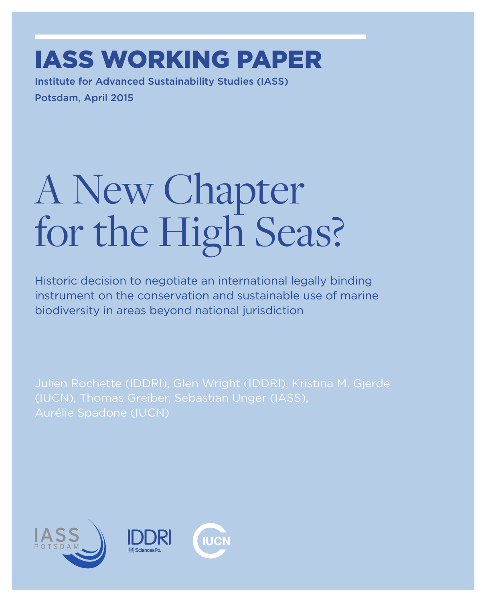IASS WorkING paper

Institute for Advanced Sustainability Studies (IASS) Potsdam, April 2015

# A New Chapter for the High Seas?

Historic decision to negotiate an international legally binding instrument on the conservation and sustainable use of marine biodiversity in areas beyond national jurisdiction

Julien Rochette (IDDRI), Glen Wright (IDDRI), Kristina M. Gjerde (IUCN), Thomas Greiber, Sebastian Unger (IASS),

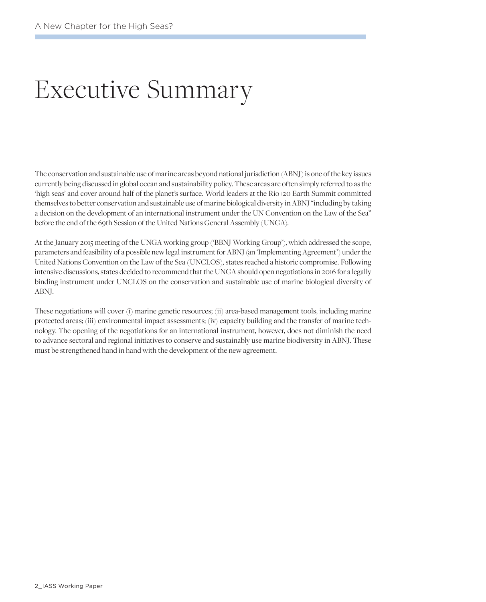# Executive Summary

The conservation and sustainable use of marine areas beyond national jurisdiction (ABNJ) is one of the key issues currently being discussed in global ocean and sustainability policy. These areas are often simply referred to as the 'high seas' and cover around half of the planet's surface. World leaders at the Rio+20 Earth Summit committed themselves to better conservation and sustainable use of marine biological diversity in ABNJ "including by taking a decision on the development of an international instrument under the UN Convention on the Law of the Sea" before the end of the 69th Session of the United Nations General Assembly (UNGA).

At the January 2015 meeting of the UNGA working group ('BBNJ Working Group'), which addressed the scope, parameters and feasibility of a possible new legal instrument for ABNJ (an 'Implementing Agreement') under the United Nations Convention on the Law of the Sea (UNCLOS), states reached a historic compromise. Following intensive discussions, states decided to recommend that the UNGA should open negotiations in 2016 for a legally binding instrument under UNCLOS on the conservation and sustainable use of marine biological diversity of ABNJ.

These negotiations will cover (i) marine genetic resources; (ii) area-based management tools, including marine protected areas; (iii) environmental impact assessments; (iv) capacity building and the transfer of marine technology. The opening of the negotiations for an international instrument, however, does not diminish the need to advance sectoral and regional initiatives to conserve and sustainably use marine biodiversity in ABNJ. These must be strengthened hand in hand with the development of the new agreement.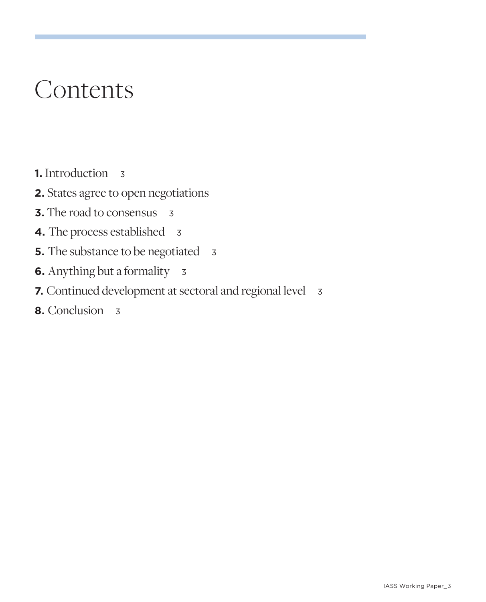#### Contents

- **1.** Introduction <sup>3</sup>
- **2.** States agree to open negotiations
- **3.** The road to consensus 3
- **4.** The process established 3
- **5.** The substance to be negotiated 3
- **6.** Anything but a formality 3
- **7.** Continued development at sectoral and regional level 3
- **8.** Conclusion 3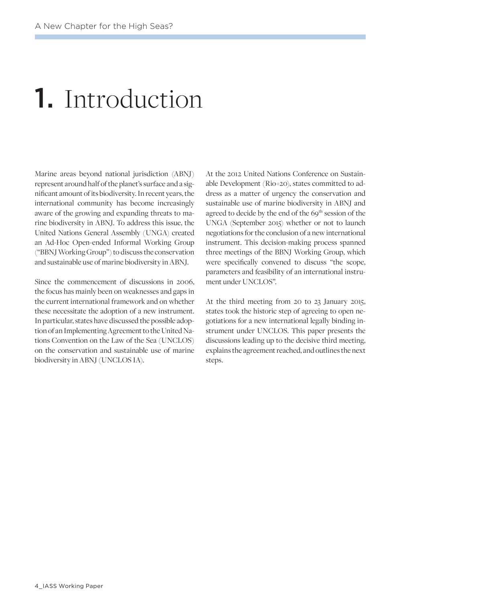### 1. Introduction

Marine areas beyond national jurisdiction (ABNJ) represent around half of the planet's surface and a significant amount of its biodiversity. In recent years, the international community has become increasingly aware of the growing and expanding threats to marine biodiversity in ABNJ. To address this issue, the United Nations General Assembly (UNGA) created an Ad-Hoc Open-ended Informal Working Group ("BBNJ Working Group") to discuss the conservation and sustainable use of marine biodiversity in ABNJ.

Since the commencement of discussions in 2006, the focus has mainly been on weaknesses and gaps in the current international framework and on whether these necessitate the adoption of a new instrument. In particular, states have discussed the possible adoption of an Implementing Agreement to the United Nations Convention on the Law of the Sea (UNCLOS) on the conservation and sustainable use of marine biodiversity in ABNJ (UNCLOS IA).

At the 2012 United Nations Conference on Sustainable Development (Rio+20), states committed to address as a matter of urgency the conservation and sustainable use of marine biodiversity in ABNJ and agreed to decide by the end of the 69<sup>th</sup> session of the UNGA (September 2015) whether or not to launch negotiations for the conclusion of a new international instrument. This decision-making process spanned three meetings of the BBNJ Working Group, which were specifically convened to discuss "the scope, parameters and feasibility of an international instrument under UNCLOS".

At the third meeting from 20 to 23 January 2015, states took the historic step of agreeing to open negotiations for a new international legally binding instrument under UNCLOS. This paper presents the discussions leading up to the decisive third meeting, explains the agreement reached, and outlines the next steps.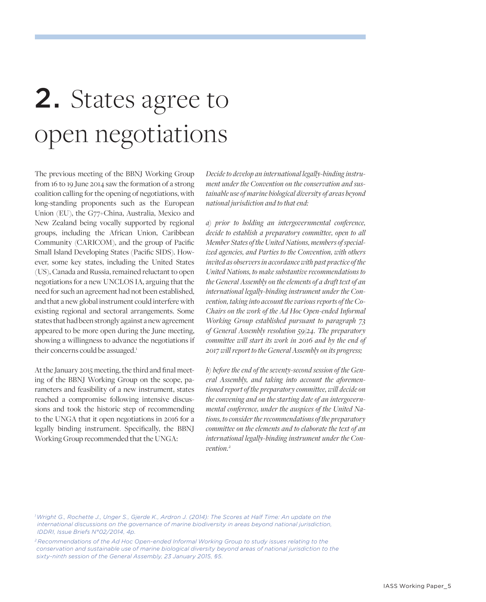# 2. States agree to open negotiations

The previous meeting of the BBNJ Working Group from 16 to 19 June 2014 saw the formation of a strong coalition calling for the opening of negotiations, with long-standing proponents such as the European Union (EU), the G77+China, Australia, Mexico and New Zealand being vocally supported by regional groups, including the African Union, Caribbean Community (CARICOM), and the group of Pacific Small Island Developing States (Pacific SIDS). However, some key states, including the United States (US), Canada and Russia, remained reluctant to open negotiations for a new UNCLOS IA, arguing that the need for such an agreement had not been established, and that a new global instrument could interfere with existing regional and sectoral arrangements. Some states that had been strongly against a new agreement appeared to be more open during the June meeting, showing a willingness to advance the negotiations if their concerns could be assuaged.<sup>1</sup>

At the January 2015 meeting, the third and final meeting of the BBNJ Working Group on the scope, parameters and feasibility of a new instrument, states reached a compromise following intensive discussions and took the historic step of recommending to the UNGA that it open negotiations in 2016 for a legally binding instrument. Specifically, the BBNJ Working Group recommended that the UNGA:

*Decide to develop an international legally-binding instrument under the Convention on the conservation and sustainable use of marine biological diversity of areas beyond national jurisdiction and to that end:*

*a) prior to holding an intergovernmental conference, decide to establish a preparatory committee, open to all Member States of the United Nations, members of specialized agencies, and Parties to the Convention, with others invited as observers in accordance with past practice of the United Nations, to make substantive recommendations to the General Assembly on the elements of a draft text of an international legally-binding instrument under the Convention, taking into account the various reports of the Co-Chairs on the work of the Ad Hoc Open-ended Informal Working Group established pursuant to paragraph 73 of General Assembly resolution 59/24. The preparatory committee will start its work in 2016 and by the end of 2017 will report to the General Assembly on its progress;*

*b) before the end of the seventy-second session of the General Assembly, and taking into account the aforementioned report of the preparatory committee, will decide on the convening and on the starting date of an intergovernmental conference, under the auspices of the United Nations, to consider the recommendations of the preparatory committee on the elements and to elaborate the text of an international legally-binding instrument under the Convention.2*

*1 Wright G., Rochette J., Unger S., Gjerde K., Ardron J. (2014): The Scores at Half Time: An update on the international discussions on the governance of marine biodiversity in areas beyond national jurisdiction, IDDRI, Issue Briefs N°02/2014, 4p.* 

*2 Recommendations of the Ad Hoc Open-ended Informal Working Group to study issues relating to the conservation and sustainable use of marine biological diversity beyond areas of national jurisdiction to the sixty-ninth session of the General Assembly, 23 January 2015, §5.*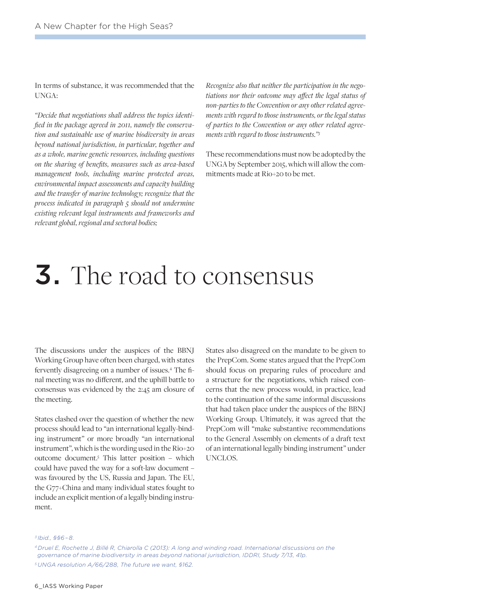In terms of substance, it was recommended that the UNGA:

*"Decide that negotiations shall address the topics identified in the package agreed in 2011, namely the conservation and sustainable use of marine biodiversity in areas beyond national jurisdiction, in particular, together and as a whole, marine genetic resources, including questions on the sharing of benefits, measures such as area-based management tools, including marine protected areas, environmental impact assessments and capacity building and the transfer of marine technology; recognize that the process indicated in paragraph 5 should not undermine existing relevant legal instruments and frameworks and relevant global, regional and sectoral bodies;*

*Recognize also that neither the participation in the negotiations nor their outcome may affect the legal status of non-parties to the Convention or any other related agreements with regard to those instruments, or the legal status of parties to the Convention or any other related agreements with regard to those instruments."3*

These recommendations must now be adopted by the UNGA by September 2015, which will allow the commitments made at Rio+20 to be met.

#### 3. The road to consensus

The discussions under the auspices of the BBNJ Working Group have often been charged, with states fervently disagreeing on a number of issues.4 The final meeting was no different, and the uphill battle to consensus was evidenced by the 2:45 am closure of the meeting.

States clashed over the question of whether the new process should lead to "an international legally-binding instrument" or more broadly "an international instrument", which is the wording used in the Rio+20 outcome document.5 This latter position – which could have paved the way for a soft-law document – was favoured by the US, Russia and Japan. The EU, the G77+China and many individual states fought to include an explicit mention of a legally binding instrument.

States also disagreed on the mandate to be given to the PrepCom. Some states argued that the PrepCom should focus on preparing rules of procedure and a structure for the negotiations, which raised concerns that the new process would, in practice, lead to the continuation of the same informal discussions that had taken place under the auspices of the BBNJ Working Group. Ultimately, it was agreed that the PrepCom will "make substantive recommendations to the General Assembly on elements of a draft text of an international legally binding instrument" under UNCLOS.

*3 Ibid., §§6 – 8.* 

*<sup>4</sup> Druel E, Rochette J, Billé R, Chiarolla C (2013): A long and winding road. International discussions on the governance of marine biodiversity in areas beyond national jurisdiction, IDDRI, Study 7/13, 41p.* 

*<sup>5</sup> UNGA resolution A/66/288, The future we want, §162.*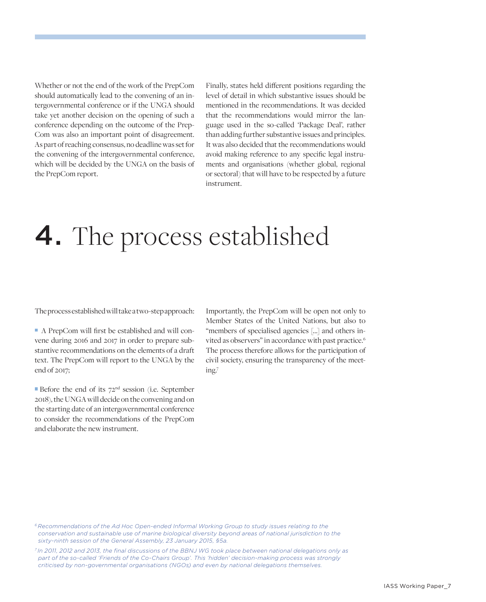Whether or not the end of the work of the PrepCom should automatically lead to the convening of an intergovernmental conference or if the UNGA should take yet another decision on the opening of such a conference depending on the outcome of the Prep-Com was also an important point of disagreement. As part of reaching consensus, no deadline was set for the convening of the intergovernmental conference, which will be decided by the UNGA on the basis of the PrepCom report.

Finally, states held different positions regarding the level of detail in which substantive issues should be mentioned in the recommendations. It was decided that the recommendations would mirror the language used in the so-called 'Package Deal', rather than adding further substantive issues and principles. It was also decided that the recommendations would avoid making reference to any specific legal instruments and organisations (whether global, regional or sectoral) that will have to be respected by a future instrument.

## 4. The process established

The process established will take a two-step approach:

 A PrepCom will first be established and will convene during 2016 and 2017 in order to prepare substantive recommendations on the elements of a draft text. The PrepCom will report to the UNGA by the end of 2017;

 $\blacksquare$  Before the end of its  $72^{\text{nd}}$  session (i.e. September 2018), the UNGA will decide on the convening and on the starting date of an intergovernmental conference to consider the recommendations of the PrepCom and elaborate the new instrument.

Importantly, the PrepCom will be open not only to Member States of the United Nations, but also to "members of specialised agencies […] and others invited as observers" in accordance with past practice.<sup>6</sup> The process therefore allows for the participation of civil society, ensuring the transparency of the meeting.7

*6 Recommendations of the Ad Hoc Open-ended Informal Working Group to study issues relating to the conservation and sustainable use of marine biological diversity beyond areas of national jurisdiction to the sixty-ninth session of the General Assembly, 23 January 2015, §5a.* 

*7 In 2011, 2012 and 2013, the final discussions of the BBNJ WG took place between national delegations only as part of the so-called 'Friends of the Co-Chairs Group'. This 'hidden' decision-making process was strongly criticised by non-governmental organisations (NGOs) and even by national delegations themselves.*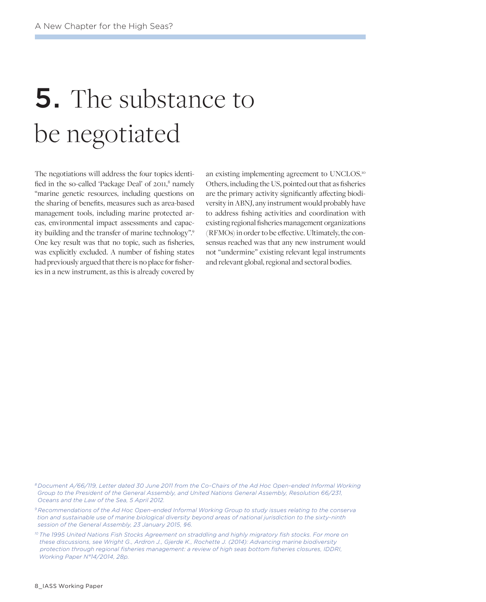# 5. The substance to be negotiated

The negotiations will address the four topics identified in the so-called 'Package Deal' of 2011,<sup>8</sup> namely "marine genetic resources, including questions on the sharing of benefits, measures such as area-based management tools, including marine protected areas, environmental impact assessments and capacity building and the transfer of marine technology".9 One key result was that no topic, such as fisheries, was explicitly excluded. A number of fishing states had previously argued that there is no place for fisheries in a new instrument, as this is already covered by

an existing implementing agreement to UNCLOS.10 Others, including the US, pointed out that as fisheries are the primary activity significantly affecting biodiversity in ABNJ, any instrument would probably have to address fishing activities and coordination with existing regional fisheries management organizations (RFMOs) in order to be effective. Ultimately, the consensus reached was that any new instrument would not "undermine" existing relevant legal instruments and relevant global, regional and sectoral bodies.

*8 Document A/66/119, Letter dated 30 June 2011 from the Co-Chairs of the Ad Hoc Open-ended Informal Working Group to the President of the General Assembly, and United Nations General Assembly, Resolution 66/231, Oceans and the Law of the Sea, 5 April 2012.* 

*9 Recommendations of the Ad Hoc Open-ended Informal Working Group to study issues relating to the conserva tion and sustainable use of marine biological diversity beyond areas of national jurisdiction to the sixty-ninth session of the General Assembly, 23 January 2015, §6.*

*10 The 1995 United Nations Fish Stocks Agreement on straddling and highly migratory fish stocks. For more on these discussions, see Wright G., Ardron J., Gjerde K., Rochette J. (2014): Advancing marine biodiversity protection through regional fisheries management: a review of high seas bottom fisheries closures, IDDRI, Working Paper N°14/2014, 28p.*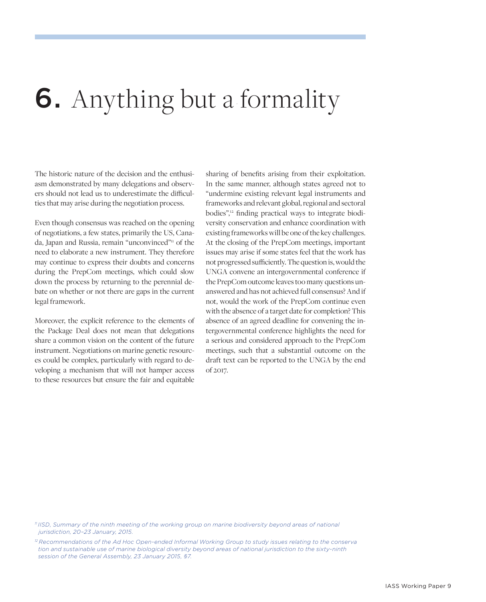# 6. Anything but a formality

The historic nature of the decision and the enthusiasm demonstrated by many delegations and observers should not lead us to underestimate the difficulties that may arise during the negotiation process.

Even though consensus was reached on the opening of negotiations, a few states, primarily the US, Canada, Japan and Russia, remain "unconvinced"<sup>11</sup> of the need to elaborate a new instrument. They therefore may continue to express their doubts and concerns during the PrepCom meetings, which could slow down the process by returning to the perennial debate on whether or not there are gaps in the current legal framework.

Moreover, the explicit reference to the elements of the Package Deal does not mean that delegations share a common vision on the content of the future instrument. Negotiations on marine genetic resources could be complex, particularly with regard to developing a mechanism that will not hamper access to these resources but ensure the fair and equitable

sharing of benefits arising from their exploitation. In the same manner, although states agreed not to "undermine existing relevant legal instruments and frameworks and relevant global, regional and sectoral bodies",<sup>12</sup> finding practical ways to integrate biodiversity conservation and enhance coordination with existing frameworks will be one of the key challenges. At the closing of the PrepCom meetings, important issues may arise if some states feel that the work has not progressed sufficiently. The question is, would the UNGA convene an intergovernmental conference if the PrepCom outcome leaves too many questions unanswered and has not achieved full consensus? And if not, would the work of the PrepCom continue even with the absence of a target date for completion? This absence of an agreed deadline for convening the intergovernmental conference highlights the need for a serious and considered approach to the PrepCom meetings, such that a substantial outcome on the draft text can be reported to the UNGA by the end of 2017.

*11 IISD, Summary of the ninth meeting of the working group on marine biodiversity beyond areas of national jurisdiction, 20–23 January, 2015.* 

*12 Recommendations of the Ad Hoc Open-ended Informal Working Group to study issues relating to the conserva tion and sustainable use of marine biological diversity beyond areas of national jurisdiction to the sixty-ninth session of the General Assembly, 23 January 2015, §7.*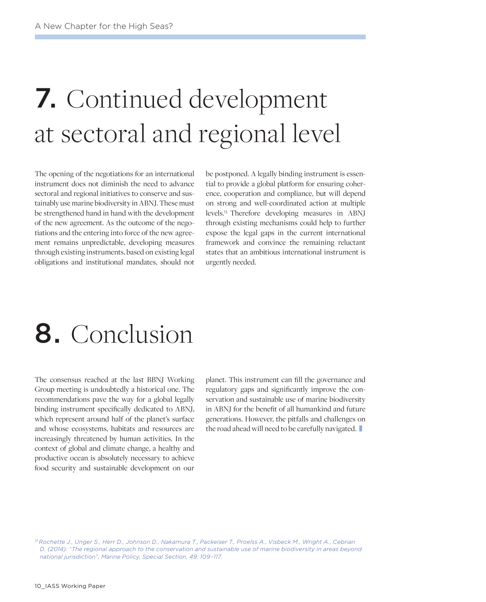# 7. Continued development at sectoral and regional level

The opening of the negotiations for an international instrument does not diminish the need to advance sectoral and regional initiatives to conserve and sustainably use marine biodiversity in ABNJ. These must be strengthened hand in hand with the development of the new agreement. As the outcome of the negotiations and the entering into force of the new agreement remains unpredictable, developing measures through existing instruments, based on existing legal obligations and institutional mandates, should not

be postponed. A legally binding instrument is essential to provide a global platform for ensuring coherence, cooperation and compliance, but will depend on strong and well-coordinated action at multiple levels.13 Therefore developing measures in ABNJ through existing mechanisms could help to further expose the legal gaps in the current international framework and convince the remaining reluctant states that an ambitious international instrument is urgently needed.

## 8. Conclusion

The consensus reached at the last BBNJ Working Group meeting is undoubtedly a historical one. The recommendations pave the way for a global legally binding instrument specifically dedicated to ABNJ, which represent around half of the planet's surface and whose ecosystems, habitats and resources are increasingly threatened by human activities. In the context of global and climate change, a healthy and productive ocean is absolutely necessary to achieve food security and sustainable development on our

planet. This instrument can fill the governance and regulatory gaps and significantly improve the conservation and sustainable use of marine biodiversity in ABNJ for the benefit of all humankind and future generations. However, the pitfalls and challenges on the road ahead will need to be carefully navigated.

*13 Rochette J., Unger S., Herr D., Johnson D., Nakamura T., Packeiser T., Proelss A., Visbeck M., Wright A., Cebrian D. (2014): "The regional approach to the conservation and sustainable use of marine biodiversity in areas beyond national jurisdiction", Marine Policy, Special Section, 49, 109–117.*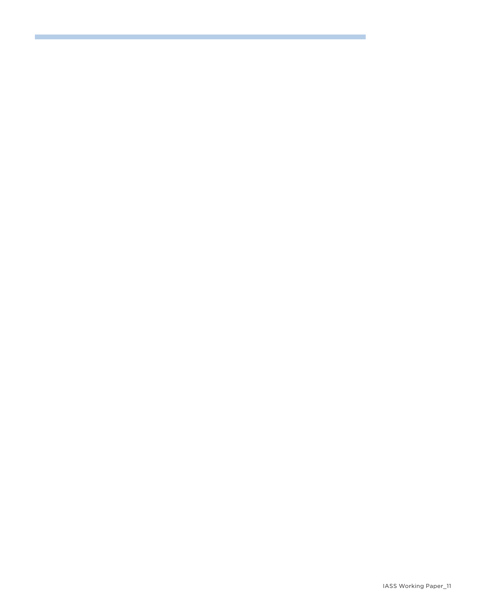IASS Working Paper\_11